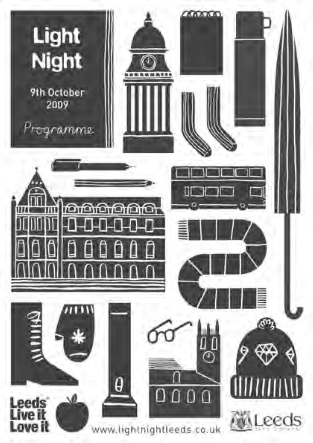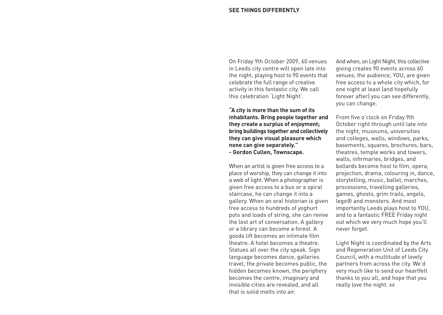On Friday 9th October 2009, 60 venues in Leeds city centre will open late into the night, playing host to 90 events that celebrate the full range of creative activity in this fantastic city. We call this celebration 'Light Night'.

**"A city is more than the sum of its inhabitants. Bring people together and they create a surplus of enjoyment; bring buildings together and collectively they can give visual pleasure which none can give separately." - Gordon Cullen, Townscape.**

When an artist is given free access to a place of worship, they can change it into a web of light. When a photographer is given free access to a bus or a spiral staircase, he can change it into a gallery. When an oral historian is given free access to hundreds of yoghurt pots and loads of string, she can revive the lost art of conversation. A gallery or a library can become a forest. A goods lift becomes an intimate film theatre. A hotel becomes a theatre. Statues all over the city speak. Sign language becomes dance, galleries travel, the private becomes public, the hidden becomes known, the periphery becomes the centre, imaginary and invisible cities are revealed, and all that is solid melts into air.

And when, on Light Night, this collective giving creates 90 events across 60 venues, the audience, YOU, are given free access to a whole city which, for one night at least (and hopefully forever after) you can see differently, you can change.

From five o'clock on Friday 9th October right through until late into the night, museums, universities and colleges, walls, windows, parks, basements, squares, brochures, bars, theatres, temple works and towers, walls, infirmaries, bridges, and bollards become host to film, opera, projection, drama, colouring in, dance, storytelling, music, ballet, marches, processions, travelling galleries, games, ghosts, grim trails, angels, lego® and monsters. And most importantly Leeds plays host to YOU, and to a fantastic FREE Friday night out which we very much hope you'll never forget.

Light Night is coordinated by the Arts and Regeneration Unit of Leeds City Council, with a multitude of lovely partners from across the city. We'd very much like to send our heartfelt thanks to you all, and hope that you really love the night. xx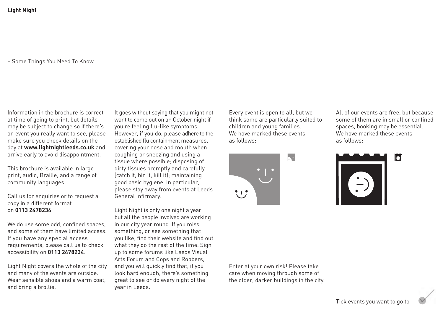– Some Things You Need To Know

Information in the brochure is correct at time of going to print, but details may be subject to change so if there's an event you really want to see, please make sure you check details on the day at **www.lightnightleeds.co.uk** and arrive early to avoid disappointment.

This brochure is available in large print, audio, Braille, and a range of community languages.

Call us for enquiries or to request a copy in a different format on **0113 2478234**.

We do use some odd, confined spaces, and some of them have limited access. If you have any special access requirements, please call us to check accessibility on **0113 2478234**.

Light Night covers the whole of the city and many of the events are outside. Wear sensible shoes and a warm coat. and bring a brollie.

It goes without saying that you might not want to come out on an October night if you're feeling flu-like symptoms. However, if you do, please adhere to the established flu containment measures, covering your nose and mouth when coughing or sneezing and using a tissue where possible; disposing of dirty tissues promptly and carefully (catch it, bin it, kill it); maintaining good basic hygiene. In particular, please stay away from events at Leeds General Infirmary.

Light Night is only one night a year, but all the people involved are working in our city year round. If you miss something, or see something that you like, find their website and find out what they do the rest of the time. Sign up to some forums like Leeds Visual Arts Forum and Cops and Robbers, and you will quickly find that, if you look hard enough, there's something great to see or do every night of the year in Leeds.

Every event is open to all, but we think some are particularly suited to children and young families. We have marked these events as follows:



All of our events are free, but because some of them are in small or confined spaces, booking may be essential. We have marked these events as follows:



Enter at your own risk! Please take care when moving through some of the older, darker buildings in the city.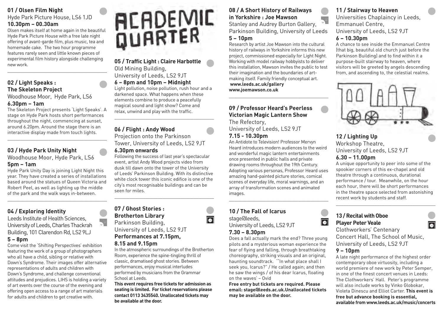# **01 / Olsen Film Night**

### Hyde Park Picture House, LS6 1JD **10.30pm – 00.30am**

Olsen makes itself at home again in the beautiful Hyde Park Picture House with a free late night offering of avant-garde film, plus music, tea and homemade cake. The two hour programme features rarely seen and little known pieces of experimental film history alongside challenging new work.

\_\_\_\_\_\_\_\_\_\_\_\_\_\_\_\_\_\_\_\_\_\_\_\_\_\_\_\_\_\_\_\_\_\_\_\_\_\_\_

# **02 / Light Speaks : The Skeleton Project**

# Woodhouse Moor, Hyde Park, LS6

# **6.30pm – 1am**

The Skeleton Project presents 'Light Speaks'. A stage on Hyde Park hosts short performances throughout the night, commencing at sunset, around 6.20pm. Around the stage there is an interactive display made from touch lights.

\_\_\_\_\_\_\_\_\_\_\_\_\_\_\_\_\_\_\_\_\_\_\_\_\_\_\_\_\_\_\_\_\_\_\_\_\_\_\_

# **03 / Hyde Park Unity Night**

Woodhouse Moor, Hyde Park, LS6

# **5pm – 1am**

Hyde Park Unity Day is joining Light Night this year. They have created a series of installations based around the statues of Queen Victoria and Robert Peel, as well as lighting up the middle of the park and the walk ways in-between.

\_\_\_\_\_\_\_\_\_\_\_\_\_\_\_\_\_\_\_\_\_\_\_\_\_\_\_\_\_\_\_\_\_\_\_\_\_\_\_

# **04 / Exploring Identity**

Leeds Institute of Health Sciences, University of Leeds, Charles Thackrah Building, 101 Clarendon Rd, LS2 9LJ

### **5 – 8pm**

Come visit the 'Shifting Perspectives' exhibition featuring the work of a group of photographers who all have a child, sibling or relative with Down's Syndrome. Their images offer alternative representations of adults and children with Down's Syndrome, and challenge conventional attitudes and prejudices. LIHS is holding a variety of art events over the course of the evening and offering open access to a range of art materials for adults and children to get creative with.

# **ACADEMIC**<br>QUARTER

**05 / Traffic Light : Claire Harbottle** Old Mining Building, University of Leeds, LS2 9JT

**6 – 8pm and 10pm – Midnight**

Light pollution, noise pollution, rush hour and a darkened space. What happens when these elements combine to produce a peacefully magical sound and light show? Come and relax, unwind and play with the traffic.

\_\_\_\_\_\_\_\_\_\_\_\_\_\_\_\_\_\_\_\_\_\_\_\_\_\_\_\_\_\_\_\_\_\_\_\_\_\_\_

# **06 / Flight : Andy Wood** Projection onto the Parkinson

Tower, University of Leeds, LS2 9JT **6.30pm onwards**

### Following the success of last year's spectacular event, artist Andy Wood projects video from dusk till dawn onto the tower of the University of Leeds' Parkinson Building. With its distinctive white clock tower this iconic edifice is one of the city's most recognisable buildings and can be seen for miles.

\_\_\_\_\_\_\_\_\_\_\_\_\_\_\_\_\_\_\_\_\_\_\_\_\_\_\_\_\_\_\_\_\_\_\_\_\_\_\_

# **07 / Ghost Stories : Brotherton Library** Parkinson Building, University of Leeds, LS2 9JT **Performances at 7.15pm,**

### **8.15 and 9.15pm**

In the atmospheric surroundings of the Brotherton Room, experience the spine-tingling thrill of classic, dramatised ghost stories. Between performances, enjoy musical interludes performed by musicians from the Grammar School at Leeds.

**This event requires free tickets for admission as seating is limited. For ticket reservations please contact 0113 3435540. Unallocated tickets may be available at the door.**

# **08 / A Short History of Railways in Yorkshire : Joe Mawson**

Stanley and Audrey Burton Gallery, Parkinson Building, University of Leeds **5 – 10pm**

Research by artist Joe Mawson into the cultural history of railways in Yorkshire informs this new project, commissioned especially for Light Night. Working with model railway hobbyists to deliver this installation, Mawson invites the public to test their imagination and the boundaries of artmaking itself. Family friendly conceptual art. **www.leeds.ac.uk/gallery www.joemawson.co.uk**

\_\_\_\_\_\_\_\_\_\_\_\_\_\_\_\_\_\_\_\_\_\_\_\_\_\_\_\_\_\_\_\_\_\_\_\_\_\_\_

# **09 / Professor Heard's Peerless Victorian Magic Lantern Show**

The Refectory,

University of Leeds, LS2 9JT

# **7.15 - 10.30pm**

An Antidote to Television! Professor Mervyn Heard introduces modern audiences to the weird and wonderful magic lantern entertainments once presented in public halls and private drawing rooms throughout the 19th Century. Adopting various personas, Professor Heard uses amazing hand-painted picture stories, comical scenes of everyday life, moral warnings, and an array of transformation scenes and animated images.

\_\_\_\_\_\_\_\_\_\_\_\_\_\_\_\_\_\_\_\_\_\_\_\_\_\_\_\_\_\_\_\_\_\_\_\_\_\_\_

# **10 / The Fall of Icarus** stage@leeds,

University of Leeds, LS2 9JT

# **7.30 – 8.30pm**

iä

Does a fall actually mark the end? Three young pilots and a mysterious woman experience the fear of flying and falling, through breathtaking choreography, striking visuals and an original, haunting soundtrack. '"In what place shall I seek you, Icarus?" / He called again; and then he saw the wings / of his dear Icarus, floating on the waves' – Ovid

**Free entry but tickets are required. Please email: stage@leeds.ac.uk.Unallocated tickets may be available on the door.**

# **11 / Stairway to Heaven**

Universities Chaplaincy in Leeds, Emmanuel Centre, University of Leeds, LS2 9JT

# **6 – 10.30pm**

A chance to see inside the Emmanuel Centre (that big, beautiful old church just before the Parkinson Building) and to find within it a purpose-built stairway to heaven, where visitors will be greeted by angels descending from, and ascending to, the celestial realms.



# **12 / Lighting Up** Workshop Theatre, University of Leeds, LS2 9JT

**6.30 – 11.00pm**

A unique opportunity to peer into some of the spookier corners of this ex-chapel and old theatre through a continuous, durational performance / tour. Meanwhile, on the hour each hour, there will be short performances in the theatre space selected from astonishing recent work by students and staff.

\_\_\_\_\_\_\_\_\_\_\_\_\_\_\_\_\_\_\_\_\_\_\_\_\_\_\_\_\_\_\_\_\_\_\_\_\_\_\_



# **13 / Recital with Oboe Player Peter Veale**

Clothworkers' Centenary Concert Hall, The School of Music, University of Leeds, LS2 9JT

# **9 – 10pm**

A late night performance of the highest order contemporary oboe virtuosity, including a world premiere of new work by Peter Semper, in one of the finest concert venues in Leeds: The Clothworkers' Hall. Peter's programme will also include works by Vinko Globokar, Violeta Dinescu and Elliot Carter. **This event is free but advance booking is essential, available from www.leeds.ac.uk/music/concerts**

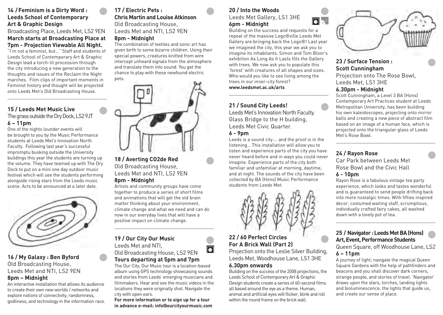# **14 / Feminism is a Dirty Word : Leeds School of Contemporary Art & Graphic Design**

# Broadcasting Place, Leeds Met, LS2 9EN **March starts at Broadcasting Place at 7pm - Projection Viewable All Night.**

"I'm not a feminist, but…" Staff and students of Leeds School of Contemporary Art & Graphic Design lead a torch-lit procession through the city introducing a new generation to the thoughts and issues of the Reclaim the Night marches. Film clips of important moments in Feminist history and thought will be projected onto Leeds Met's Old Broadcasting House.

\_\_\_\_\_\_\_\_\_\_\_\_\_\_\_\_\_\_\_\_\_\_\_\_\_\_\_\_\_\_\_\_\_\_\_\_\_\_\_

### **15 / Leeds Met Music Live** The grass outside the Dry Dock, LS2 9JT **6 – 11pm**

One of the nights lounder events will be brought to you by the Music Performance students at Leeds Met's Innovation North Faculty. Following last year's successful impromptu busking outside the University buildings this year the students are turning up the volume. They have teamed up with The Dry Dock to put on a mini one day outdoor music festival which will see the students performing alongside rising stars from the Leeds music scene. Acts to be announced at a later date.



# **16 / My Galaxy : Ben Byford** Old Broadcasting House, Leeds Met and NTI, LS2 9EN

### **8pm – Midnight**

An interactive installation that allows its audience to create their own new worlds / networks and explore notions of connectivity, randomness, godliness, and technology in the information race.

# **17 / Electric Pets : Chris Martin and Louise Atkinson** Old Broadcasting House, Leeds Met and NTI, LS2 9EN

# **8pm - Midnight**

The combination of textiles and sonic art has given birth to some bizarre children. Using their special powers, creatures knitted from wire intercept unheard signals from the atmosphere and translate them into sound. You get the chance to play with these newfound electric



### **18 / Averting CO2de Red** Old Broadcasting House, Leeds Met and NTI, LS2 9EN **8pm - Midnight**

Artists and community groups have come together to produce a series of short films and animations that will get the old brain matter thinking about your environment, climate change and what we need and can do now in our everyday lives that will have a positive impact on climate change.

\_\_\_\_\_\_\_\_\_\_\_\_\_\_\_\_\_\_\_\_\_\_\_\_\_\_\_\_\_\_\_\_\_\_\_\_\_\_\_

# **19 / Our City Our Music** Leeds Met and NTI,



 $\overline{\bullet}$ 

The Our City, Our Music tour is a location-based album using GPS technology showcasing sounds and stories from Leeds' emerging musicians and filmmakers. Hear and see the music videos in the locations they were originally shot. Navigate the city with open ears.

**For more information or to sign up for a tour in advance e-mail: info@ourcityourmusic.com**

# **20 / Into the Woods**

Leeds Met Gallery, LS1 3HE **6pm - Midnight**

Building on the success and requests for a repeat of the massive Lego®ville Leeds Met Gallery are bringing back the Lego®! Last year we imagined the city, this year we ask you to imagine its inhabitants. Simon and Tom Bloor's exhibition As Long As It Lasts fills the Gallery with trees. We now ask you to populate this 'forest' with creatures of all shapes and sizes. Who would you like to see living among the trees in our inner-city forest? **www.leedsmet.ac.uk/arts**

\_\_\_\_\_\_\_\_\_\_\_\_\_\_\_\_\_\_\_\_\_\_\_\_\_\_\_\_\_\_\_\_\_\_\_\_\_\_\_

# **21 / Sound City Leeds!**

Leeds Met's Innovation North Faculty. Glass Bridge to the H building, Leeds Met Civic Quarter.

### **6 - 9pm**

Leeds is a sound city…. and the proof is in the listening… This installation will allow you to listen and experience parts of the city you have never heard before and in ways you could never imagine. Experience parts of the city both familiar and unfamiliar at morning, daytime, and at night. The sounds of the city have been collected by BA (Hons) Music Performance students from Leeds Met.



# **22 / 60 Perfect Circles For A Brick Wall (Part 2)**

Projection onto the Leslie Silver Building, Leeds Met, Woodhouse Lane, LS1 3HE

# **6.30pm onwards**

Building on the success of the 2008 projections, the Leeds School of Contemporary Art & Graphic Design students create a series of 60-second films all based around the eye as a theme. Human, animal and artificial eyes will flicker, blink and roll within the round frame on the brick wall.



**23 / Surface Tension : Scott Cunningham** Projection onto The Rose Bowl, Leeds Met, LS1 3HE

# **6.30pm - Midnight**

Scott Cunningham, a Level 3 BA (Hons) Contemporary Art Practices student at Leeds Metropolitan University, has been building his own kaleidoscopes, projecting onto mirror balls and creating a new piece of abstract film based on an image of a human face, which is projected onto the triangular glass of Leeds Met's Rose Bowl.

\_\_\_\_\_\_\_\_\_\_\_\_\_\_\_\_\_\_\_\_\_\_\_\_\_\_\_\_\_\_\_\_\_\_\_\_\_\_\_

# **24 / Rayon Rose**

Car Park between Leeds Met Rose Bowl and the Civic Hall **6 - 10pm**

Rayon Rose is a fabulous vintage tea party experience, which looks and tastes wonderful and is guaranteed to send people drifting back into more nostalgic times. With fifties inspired decor, costumed waiting staff, scrumptious, individually crafted fairy cakes, all washed down with a lovely pot of tea.

\_\_\_\_\_\_\_\_\_\_\_\_\_\_\_\_\_\_\_\_\_\_\_\_\_\_\_\_\_\_\_\_\_\_\_\_\_\_\_

# **25 / Navigator : Leeds Met BA (Hons) Art, Event, Performance Students**

Queen Square, off Woodhouse Lane, LS2 **6 – 11pm**

A journey of light; navigate the magical Queen Square Gardens with the help of pathfinders and beacons and you shall discover dark corners, strange people, and stories of travel. 'Navigator' draws upon the stars, torches, landing lights and bioluminescence: the lights that guide us, and create our sense of place.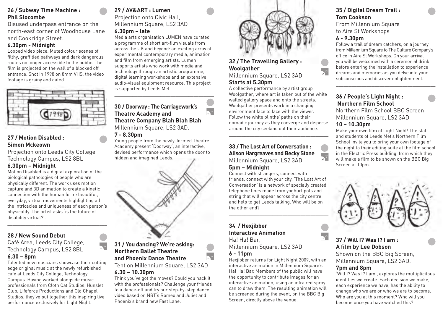# **26 / Subway Time Machine : Phil Slocombe**

Disused underpass entrance on the north-east corner of Woodhouse Lane and Cookridge Street.

# **6.30pm - Midnight**

Looped video piece. Muted colour scenes of filthy, graffitied pathways and dark dangerous routes no longer accessible to the public. The film is projected on the wall of a blocked off entrance. Shot in 1998 on 8mm VHS, the video footage is grainy and dated.



# **27 / Motion Disabled : Simon Mckeown**

Projection onto Leeds City College, Technology Campus, LS2 8BL **6.30pm – Midnight**

Motion Disabled is a digital exploration of the biological pathologies of people who are physically different. The work uses motion capture and 3D animation to create a kinetic connection with the human form: beautiful, everyday, virtual movements highlighting all the intricacies and uniqueness of each person's physicality. The artist asks 'is the future of disability virtual?'.

\_\_\_\_\_\_\_\_\_\_\_\_\_\_\_\_\_\_\_\_\_\_\_\_\_\_\_\_\_\_\_\_\_\_\_\_\_\_\_

# **28 / New Sound Debut**

Café Area, Leeds City College, Technology Campus, LS2 8BL **6.30 – 8pm**

Talented new musicians showcase their cutting edge original music at the newly refurbished café at Leeds City College, Technology Campus. Having worked alongside music professionals from Cloth Cat Studios, Hunslet Club, Lifeforce Productions and Old Chapel Studios, they've put together this inspiring live performance exclusively for Light Night.

# **29 / AV&ART : Lumen**

# Projection onto Civic Hall, Millennium Square, LS2 3AD

### **6.30pm – late**

Media arts organisation LUMEN have curated a programme of short art-film visuals from across the UK and beyond: an exciting array of experimental contemporary media, animation and film from emerging artists. Lumen supports artists who work with media and technology through an artistic programme, digital learning workshops and an extensive audio-visual equipment resource. This project is supported by Leeds Met

\_\_\_\_\_\_\_\_\_\_\_\_\_\_\_\_\_\_\_\_\_\_\_\_\_\_\_\_\_\_\_\_\_\_\_\_\_\_\_

# **30 / Doorway : The Carriagework's Theatre Academy and Theatre Company Blah Blah Blah** Millennium Square, LS2 3AD.

### **7 - 8.30pm**

Young people from the newly-formed Theatre Academy present 'Doorway', an interactive, devised performance which opens the door to hidden and imagined Leeds.



# **31 / You dancing? We're asking: Northern Ballet Theatre and Phoenix Dance Theatre**

### Tent on Millennium Square, LS2 3AD **6.30 – 10.30pm**

Think you've got the moves? Could you hack it with the professionals? Challenge your friends to a dance-off and try our step-by-step dance video based on NBT's Romeo and Juliet and Phoenix's brand new Fast Lane.



# **32 / The Travelling Gallery : Woolgather**

### Millennium Square, LS2 3AD **Starts at 5.30pm**

A collective performance by artist group Woolgather, where art is taken out of the white walled gallery space and onto the streets. Woolgather presents work in a changing environment face to face with the viewer. Follow the white plinths' paths on their nomadic journey as they converge and disperse around the city seeking out their audience. \_\_\_\_\_\_\_\_\_\_\_\_\_\_\_\_\_\_\_\_\_\_\_\_\_\_\_\_\_\_\_\_\_\_\_\_\_\_\_

# **33 / The Lost Art of Conversation : Alison Hargreaves and Becky Stone** Millennium Square, LS2 3AD

### **5pm – Midnight**

Connect with strangers, connect with friends, connect with your city. 'The Lost Art of Conversation' is a network of specially created telephone lines made from yoghurt pots and string that will appear across the city centre and help to get Leeds talking. Who will be on the other end?

\_\_\_\_\_\_\_\_\_\_\_\_\_\_\_\_\_\_\_\_\_\_\_\_\_\_\_\_\_\_\_\_\_\_\_\_\_\_\_

### **34 / Hexjibber Interactive Animation** Ha! Ha! Bar,

Millennium Square, LS2 3AD **6 - 11pm**

### Hexjibber returns for Light Night 2009, with an interactive animation in Millennium Square's Ha! Ha! Bar. Members of the public will have the opportunity to contribute images for an interactive animation, using an infra red spray can to draw them. The resulting animation will be screened during the event, on the BBC Big Screen, directly above the venue.

# **35 / Digital Dream Trail : Tom Cookson**

From Millennium Square to Aire St Workshops

# **6 - 9.30pm**

Follow a trail of dream catchers, on a journey from Millennium Square to The Culture Company's office in Aire St Workshops. On your arrival you will be welcomed with a ceremonial drink before entering the installation to experience dreams and memories as you delve into your subconscious and discover enlightenment.

\_\_\_\_\_\_\_\_\_\_\_\_\_\_\_\_\_\_\_\_\_\_\_\_\_\_\_\_\_\_\_\_\_\_\_\_\_\_\_

# **36 / People's Light Night : Northern Film School**

Northern Film School BBC Screen Millennium Square, LS2 3AD

# **10 – 10.30pm**

Make your own film of Light Night! The staff and students of Leeds Met's Northern Film School invite you to bring your own footage of the night to their editing suite at the film school in the Electric Press building, from which they will make a film to be shown on the BBC Big Screen at 10pm.



# **37 / Will I? Was I? I am : A film by Lee Dobson**

Shown on the BBC Big Screen, Millennium Square, LS2 3AD.

# **7pm and 8pm**

'Will I? Was I? I am', explores the multiplicitous identities we create. Each decision we make, each experience we have, has the ability to change who we are or who we are to become. Who are you at this moment? Who will you become once you have watched this?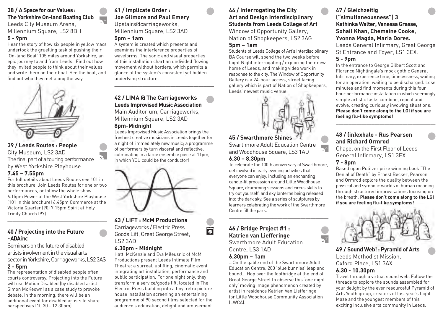## **38 / A Space for our Values : The Yorkshire On-land Boating Club** Leeds City Museum Arena, Millennium Square, LS2 8BH

# **5 - 9pm**

Hear the story of how six people in yellow macs undertook the gruelling task of pushing their 'On-land Boat' 105 miles around Yorkshire, an epic journey to and from Leeds. Find out how they invited people to think about their values and write them on their boat. See the boat, and find out who they met along the way.



### **39 / Leeds Routes : People** City Museum, LS2 3AD The final part of a touring performance by West Yorkshire Playhouse **7.45 – 7.55pm**

For full details about Leeds Routes see 101 in this brochure. Join Leeds Routes for one or two performances, or follow the whole show. 6.15pm Power at the West Yorkshire Playhouse (101 in this brochure) 6.45pm Commerce at the Victoria Quarter (90) 7.15pm Spirit at Holy Trinity Church (97)

\_\_\_\_\_\_\_\_\_\_\_\_\_\_\_\_\_\_\_\_\_\_\_\_\_\_\_\_\_\_\_\_\_\_\_\_\_\_\_

# **40 / Projecting into the Future - ADA inc**

Seminars on the future of disabled artists involvement in the visual arts sector in Yorkshire, Carriageworks, LS2 3AS

### **2 - 5pm**

The representation of disabled people often courts controversy. Projecting into the Future will use Motion Disabled (by disabled artist Simon McKeown) as a case study to provoke debate. In the morning, there will be an additional event for disabled artists to share perspectives (10.30 - 12.30pm).

# **41 / Implicate Order : Joe Gilmore and Paul Emery** Upstairs@carriageworks, Millennium Square, LS2 3AD

# **5pm – 1am**

 $\overline{\mathbb{R}^2}$ 

 $\overline{\mathbf{e}}^{\mathbf{u}}$ 

A system is created which presents and examines the interference properties of waveforms. The sonic and visual properties of this installation chart an undivided flowing movement without borders, which permits a glance at the system's consistent yet hidden underlying structure.

# **42 / LIMA @ The Carriageworks Leeds Improvised Music Association**

\_\_\_\_\_\_\_\_\_\_\_\_\_\_\_\_\_\_\_\_\_\_\_\_\_\_\_\_\_\_\_\_\_\_\_\_\_\_\_

Main Auditorium, Carriageworks, Millennium Square, LS2 3AD **8pm-Midnight**

Leeds Improvised Music Association brings the freshest creative musicians in Leeds together for a night of immediately new music; a programme of performers by turn visceral and reflective, culminating in a large ensemble piece at 11pm, in which YOU could be the conductor!



# **43 / LIFT : McM Productions**

Carriageworks / Electric Press Goods Lift, Great George Street, LS2 3AD

### **6.30pm - Midnight**

Hatti McKenzie and Eva Mileusnic of McM Productions present Leeds Intimate Film Theatre: a surreal, uplifting, cinematic event integrating art installation, performance and public participation. For one night only, they transform a service/goods lift, located in The Electric Press building into a tiny, retro picture house installation screening an entertaining programme of 90 second films selected for the audience's edification, delight and amusement.

# **44 / Interrogating the City Art and Design Interdisciplinary Students from Leeds College of Art**

Window of Opportunity Gallery, Nation of Shopkeepers, LS2 3AG

### **5pm – 1am**

Students of Leeds College of Art's Interdisciplinary BA Course will spend the two weeks before Light Night interrogating / exploring their new home of Leeds, and making video work in response to the city. The Window of Opportunity Gallery is a 24-hour access, street facing gallery which is part of Nation of Shopkeepers, Leeds' newest music venue.



# **45 / Swarthmore Shines**

Swarthmore Adult Education Centre and Woodhouse Square, LS3 1AD

# **6.30 – 8.30pm**

To celebrate the 100th anniversary of Swarthmore, get involved in early evening activities that everyone can enjoy, including an enchanting candle-lit procession around Little Woodhouse Square, drumming sessions and circus skills to try out yourself, and sky lanterns being released into the dark sky. See a series of sculptures by learners celebrating the work of the Swarthmore Centre fill the park.

\_\_\_\_\_\_\_\_\_\_\_\_\_\_\_\_\_\_\_\_\_\_\_\_\_\_\_\_\_\_\_\_\_\_\_\_\_\_\_

# **46 / Bridge Project #1 : Katrien van Liefferinge**

Swarthmore Adult Education Centre, LS3 1AD

# **6.30pm – 1am**

 $\overline{\bullet}$ 

…On the gable end of the Swarthmore Adult Education Centre, 200 'blue bunnies' leap and bound… Hop over the footbridge at the end of Great George Street to observe this 'one night only' moving image phenomenon created by artist in residence Katrien Van Liefferinge for Little Woodhouse Community Association (LWCA).

# **47 / Gleichzeitig ("simultaneousness") 3 Kathinka Walter, Vanessa Grasse, Sohail Khan, Chemaine Cooke, Yvonna Magda, Maria Dores.**

Leeds General Infirmary, Great George St Entrance and Foyer, LS1 3EX.

# **5 - 9pm**

In the entrance to George Gilbert Scott and Florence Nightingale's mock gothic General Infirmary, experience time, timelessness, waiting for an operation, waiting to be discharged. Lose minutes and find moments during this four hour performance installation in which seemingly simple artistic tasks combine, repeat and evolve, creating curiously involving situations. **Please don't come along to the LGI if you are feeling flu-like symptoms!**

\_\_\_\_\_\_\_\_\_\_\_\_\_\_\_\_\_\_\_\_\_\_\_\_\_\_\_\_\_\_\_\_\_\_\_\_\_\_\_

# **48 / (in)exhale - Rus Pearson and Richard Ormrod**

Chapel on the First Floor of Leeds General Infirmary, LS1 3EX

### **7 - 8pm**

Based upon Pulitzer prize winning book "The Denial of Death" by Ernest Becker, Pearson and Ormrod explore the duality between the physical and symbolic worlds of human meaning through structured improvisations focusing on the breath. **Please don't come along to the LGI if you are feeling flu-like symptoms!**



# **49 / Sound Web! : Pyramid of Arts** Leeds Methodist Mission, Oxford Place, LS1 3AX  **6.30 - 10.30pm**

Travel through a virtual sound web. Follow the threads to explore the sounds assembled for your delight by the ever resourceful Pyramid of Arts Youth group, creators of last year's Light Maze and the youngest members of this exciting inclusive arts community in Leeds.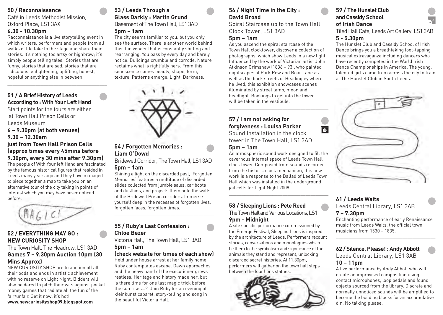# **50 / Raconnaissance**

Café in Leeds Methodist Mission, Oxford Place, LS1 3AX

# **6.30 - 10.30pm**

Racconnaissance is a live storytelling event in which writers, performers and people from all walks of life take to the stage and share their stories. It's nothing too artsy or highbrow; it's simply people telling tales. Stories that are funny, stories that are sad, stories that are ridiculous, enlightening, uplifting, honest, hopeful or anything else in between.

\_\_\_\_\_\_\_\_\_\_\_\_\_\_\_\_\_\_\_\_\_\_\_\_\_\_\_\_\_\_\_\_\_\_\_\_\_\_\_

# **51 / A Brief History of Leeds According to : With Your Left Hand**

Start points for the tours are either at Town Hall Prison Cells or Leeds Museum

**6 – 9.30pm (at both venues) 9.30 – 12.30am** 

# **just from Town Hall Prison Cells (approx times every 45mins before 9.30pm, every 30 mins after 9.30pm)**

The people of With Your left Hand are fascinated by the famous historical figures that resided in Leeds many years ago and they have managed to piece together a map to take you on an alternative tour of the city taking in points of interest which you may have never noticed before.

 $MAGIC!$ 

# **52 / EVERYTHING MAY GO : NEW CURIOSITY SHOP**

# The Town Hall, The Headrow, LS1 3AD **Games 7 – 9.30pm Auction 10pm (30 Mins Approx)**

NEW CURIOSITY SHOP are to auction off all their odds and ends in artistic achievement with no reserve on Light Night. Bidders will also be dared to pitch their wits against pocket money games that radiate all the fun of the fair/unfair. Get it now, it's hot! **www.newcuriosityshop09.blogspot.com** 

# **53 / Leeds Through a Glass Darkly : Martin Grund** Basement of The Town Hall, LS1 3AD **5pm – 1am**

The city seems familiar to you, but you only see the surface. There is another world behind this thin veneer that is constantly shifting and rearranging. You pass by every day and barely notice. Buildings crumble and corrode. Nature reclaims what is rightfully hers. From this senescence comes beauty, shape, form, texture. Patterns emerge. Light. Darkness.



# **54 / Forgotten Memories : Liam O'Dowd**

Bridewell Corridor, The Town Hall, LS1 3AD **5pm – 1am**

Shining a light on the discarded past, 'Forgotten Memories' features a multitude of discarded slides collected from jumble sales, car boots and dustbins, and projects them onto the walls of the Bridewell Prison corridors. Immerse yourself deep in the recesses of forgotten lives, forgotten faces, forgotten times.

\_\_\_\_\_\_\_\_\_\_\_\_\_\_\_\_\_\_\_\_\_\_\_\_\_\_\_\_\_\_\_\_\_\_\_\_\_\_\_

# **55 / Ruby's Last Confession : Chloe Bezer**

Victoria Hall, The Town Hall, LS1 3AD **5pm – 1am** 

# **(check website for times of each show)**

Held under house arrest at her family home, Ruby contemplates escape. Dawn approaches and the heavy hand of the executioner grows restless. Heritage and history made her, but is there time for one last magic trick before the sun rises…? Join Ruby for an evening of kleinkunst cabaret, story-telling and song in the beautiful Victoria Hall.

# **56 / Night Time in the City : David Broad**

Spiral Staircase up to the Town Hall Clock Tower, LS1 3AD

# **5pm – 1am**

As you ascend the spiral staircase of the Town Hall clocktower, discover a collection of photographs, which show Leeds in a new light. Influenced by the work of Victorian artist John Atkinson Grimshaw (1836 – 93), who painted nightscapes of Park Row and Boar Lane as well as the back streets of Headingley where he lived, this exhibition showcases scenes illuminated by street lamp, moon and headlight. Bookings to get into the tower will be taken in the vestibule.

\_\_\_\_\_\_\_\_\_\_\_\_\_\_\_\_\_\_\_\_\_\_\_\_\_\_\_\_\_\_\_\_\_\_\_\_\_\_\_

lo

# **57 / I am not asking for forgiveness : Louisa Parker**

Sound Installation in the clock tower in The Town Hall, LS1 3AD

# **5pm – 1am**

An atmospheric sound work designed to fill the cavernous internal space of Leeds Town Hall clock tower. Composed from sounds recorded from the historic clock mechanism, this new work is a response to the Ballad of Leeds Town Hall which was installed in the underground jail cells for Light Night 2008.

\_\_\_\_\_\_\_\_\_\_\_\_\_\_\_\_\_\_\_\_\_\_\_\_\_\_\_\_\_\_\_\_\_\_\_\_\_\_\_

# **58 / Sleeping Lions : Pete Reed** The Town Hall and Various Locations, LS1

# **9pm - Midnight**

A site specific performance commissioned by the Emerge Festival, Sleeping Lions is inspired by the architecture of Leeds. Performers recount stories, conversations and monologues which tie them to the symbolism and significance of the animals they stand and represent, unlocking discarded secret histories. At 11.30pm, performers will gather on the town hall steps between the four lions statues.



# **59 / The Hunslet Club and Cassidy School of Irish Dance**

Tiled Hall Café, Leeds Art Gallery, LS1 3AB **5 - 5.30pm**

The Hunslet Club and Cassidy School of Irish Dance brings you a breathtaking foot-tapping musical extravaganza including dancers who have recently competed in the World Irish Dance Championships in America. The young, talented girls come from across the city to train at The Hunslet Club in South Leeds.



# **61 / Leeds Waits** Leeds Central Library, LS1 3AB **7 – 7.30pm**

Enchanting performance of early Renaissance music from Leeds Waits, the official town musicians from 1530 – 1835.

\_\_\_\_\_\_\_\_\_\_\_\_\_\_\_\_\_\_\_\_\_\_\_\_\_\_\_\_\_\_\_\_\_\_\_\_\_\_\_

### **62 / Silence, Please! : Andy Abbott** Leeds Central Library, LS1 3AB

# **10 – 11pm**

A live performance by Andy Abbott who will create an improvised composition using contact microphones, loop pedals and found objects sourced from the library. Discrete and normally unnoticed sounds will be amplified to become the building blocks for an accumulative din. No talking please.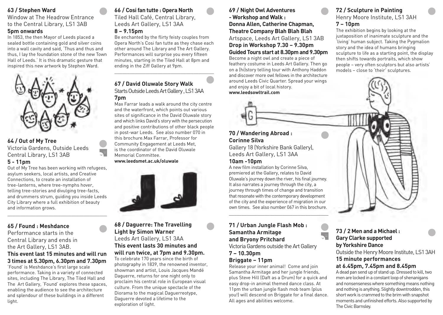# **63 / Stephen Ward**

Window at The Headrow Entrance to the Central Library, LS1 3AB

### **5pm onwards**

In 1853, the then Mayor of Leeds placed a sealed bottle containing gold and silver coins into a wall cavity and said, 'Thus and thus and thus, I lay the foundation stone of the new Town Hall of Leeds.' It is this dramatic gesture that inspired this new artwork by Stephen Ward.



### **64 / Out of My Tree** Victoria Gardens, Outside Leeds Central Library, LS1 3AB **5 - 11pm**

Out of My Tree has been working with refugees, asylum seekers, local artists, and Creative Connections, to create an installation of tree-lanterns, where tree-nymphs hover, telling tree-stories and divulging tree-facts, and drummers strum, guiding you inside Leeds City Library where a full exhibition of beauty and information grows.

\_\_\_\_\_\_\_\_\_\_\_\_\_\_\_\_\_\_\_\_\_\_\_\_\_\_\_\_\_\_\_\_\_\_\_\_\_\_\_

# **65 / Found : Meshdance**

Performance starts in the Central Library and ends in the Art Gallery, LS1 3AB.

# **This event last 15 minutes and will run 3 times at 5.30pm, 6.30pm and 7.30pm**

'Found' is Meshdance's first large scale performance. Taking in a variety of connected sites, including The Library, The Tiled Hall and The Art Gallery, 'Found' explores these spaces, enabling the audience to see the architecture and splendour of these buildings in a different light.

# **66 / Cosi fan tutte : Opera North** Tiled Hall Café, Central Library,

Leeds Art Gallery, LS1 3AA **8 – 9.15pm**

Be enchanted by the flirty feisty couples from Opera North's Cosi fan tutte as they chase each other around The Library and The Art Gallery. Performances will surprise you every fifteen minutes, starting in the Tiled Hall at 8pm and ending in the Ziff Gallery at 9pm.

\_\_\_\_\_\_\_\_\_\_\_\_\_\_\_\_\_\_\_\_\_\_\_\_\_\_\_\_\_\_\_\_\_\_\_\_\_\_\_

# **67 / David Oluwale Story Walk** Starts Outside Leeds Art Gallery , LS1 3AA

**7pm** Max Farrar leads a walk around the city centre and the waterfront, which points out various sites of significance in the David Oluwale story and which links David's story with the persecution and positive contributions of other black people in post-war Leeds. See also number 070 in this brochure.Max Farrar, Professor for Community Engagement at Leeds Met, is the coordinator of the David Oluwale Memorial Committee. **www.leedsmet.ac.uk/oluwale**



# **68 / Daguerre: The Travelling Light by Simon Warner** Leeds Art Gallery, LS1 3AA **This event lasts 30 minutes and will run twice, at 7pm and 9.30pm.**

To celebrate 170 years since the birth of photography in 1839, the renowned inventor, showman and artist, Louis Jacques Mandé Daguerre, returns for one night only to proclaim his central role in European visual culture. From the unique spectacle of the Diorama to the magical Daguerreotype, Daguerre devoted a lifetime to the exploration of light.

# **69 / Night Owl Adventures - Workshop and Walk : Donna Allen, Catherine Chapman, Theatre Company Blah Blah Blah** Artspace, Leeds Art Gallery, LS1 3AB **Drop in Workshop 7.30 – 9.30pm**

# **Guided Tours start at 8.30pm and 9.30pm**

Become a night owl and create a piece of feathery costume in Leeds Art Gallery. Then go on a (hi)story telling tour with Anthony Haddon and discover more owl fellows in the architecture around Leeds Civic Quarter. Spread your wings and enjoy a bit of local history.

**www.leedsowltrail.com**

# **72 / Sculpture in Painting** Henry Moore Institute, LS1 3AH **7 – 10pm**

The exhibition begins by looking at the juxtaposition of inanimate sculpture and the 'living' human subject. Taking the Pygmalion story and the idea of humans bringing sculpture to life as a starting point, the display then shifts towards portraits, which show people – very often sculptors but also artists' models – close to 'their' sculptures.

# **70 / Wandering Abroad : Corinne Silva**

Gallery 18 (Yorkshire Bank Gallery), Leeds Art Gallery, LS1 3AA

# **10am -10pm**

A new film installation by Corinne Silva, premiered at the Gallery, relates to David Oluwale's journey down the river, his final journey. It also narrates a journey through the city, a journey through times of change and transition that resonate with the contemporary development of the city and the experience of migration in our own times. See also number 067 in this brochure.

\_\_\_\_\_\_\_\_\_\_\_\_\_\_\_\_\_\_\_\_\_\_\_\_\_\_\_\_\_\_\_\_\_\_\_\_\_\_\_

# **71 / Urban Jungle Flash Mob : Samantha Armitage and Bryony Pritchard**

Victoria Gardens outside the Art Gallery **7 – 10.30pm**

### **Briggate – 11pm**

Release your inner animal! Come and join Samantha Armitage and her jungle friends, plus Steve Hill (Daft as a Drum) for a quick and easy drop-in animal themed dance class. At 11pm the urban jungle flash mob team (plus you!) will descend on Briggate for a final dance. All ages and abilities welcome.

# **73 / 2 Men and a Michael : Gary Clarke supported by Yorkshire Dance**

 $\overline{\mathbb{R}^2}$ 

Outside the Henry Moore Institute, LS1 3AH

### **15 minute performances at 6.45pm, 7.45pm and 8.45pm**

A dead pan send up of stand up. Dressed to kill, two men are locked in a constant loop of shenanigans and nonsenseness where something means nothing and nothing is anything. Slightly downtrodden, this short work is crammed to the brim with snapshot moments and unfinished efforts. Also supported by The Civic Barnsley.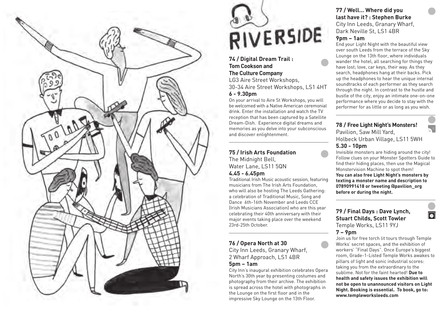

# RIVERSIDE

**74 / Digital Dream Trail : Tom Cookson and The Culture Company** LG3 Aire Street Workshops, 30-34 Aire Street Workshops, LS1 4HT **6 - 9.30pm**

On your arrival to Aire St Workshops, you will be welcomed with a Native American ceremonial drink. Enter the installation and watch the TV reception that has been captured by a Satellite Dream-Dish. Experience digital dreams and memories as you delve into your subconscious and discover enlightenment.

\_\_\_\_\_\_\_\_\_\_\_\_\_\_\_\_\_\_\_\_\_\_\_\_\_\_\_\_\_\_\_\_\_\_\_\_\_\_\_

# **75 / Irish Arts Foundation** The Midnight Bell,

Water Lane, LS11 5QN **4.45 - 6.45pm**

Traditional Irish Music acoustic session, featuring musicians from The Irish Arts Foundation, who will also be hosting The Leeds Gathering: a celebration of Traditional Music, Song and Dance 6th-16th November and Leeds CCE (Irish Musicians Association) who are this year celebrating their 40th anniversary with their major events taking place over the weekend 23rd-25th October.

\_\_\_\_\_\_\_\_\_\_\_\_\_\_\_\_\_\_\_\_\_\_\_\_\_\_\_\_\_\_\_\_\_\_\_\_\_\_\_

# **76 / Opera North at 30**

City Inn Leeds, Granary Wharf, 2 Wharf Approach, LS1 4BR **5pm – 1am**

City Inn's inaugural exhibition celebrates Opera North's 30th year by presenting costumes and photography from their archive. The exhibition is spread across the hotel with photographs in the Lounge on the first floor and in the impressive Sky Lounge on the 13th Floor.

# **77 / Well… Where did you last have it? : Stephen Burke** City Inn Leeds, Granary Wharf,

Dark Neville St, LS1 4BR

# **9pm – 1am**

End your Light Night with the beautiful view over south Leeds from the terrace of the Sky Lounge on the 13th floor, where individuals wander the hotel, all searching for things they have lost; love, car keys, their way. As they search, headphones hang at their backs. Pick up the headphones to hear the unique internal soundtracks of each performer as they search through the night. In contrast to the hustle and bustle of the city, enjoy an intimate one-on-one performance where you decide to stay with the performer for as little or as long as you wish.

\_\_\_\_\_\_\_\_\_\_\_\_\_\_\_\_\_\_\_\_\_\_\_\_\_\_\_\_\_\_\_\_\_\_\_\_\_\_\_

# **78 / Free Light Night's Monsters!**

Pavilion, Saw Mill Yard, Holbeck Urban Village, LS11 5WH

### **5.30 - 10pm**

Invisible monsters are hiding around the city! Follow clues on your Monster Spotters Guide to find their hiding places, then use the Magical Monstervision Machine to spot them!

**You can also free Light Night's monsters by texting a monster name and description to 07890991418 or tweeting @pavilion\_org before or during the night.**

\_\_\_\_\_\_\_\_\_\_\_\_\_\_\_\_\_\_\_\_\_\_\_\_\_\_\_\_\_\_\_\_\_\_\_\_\_\_\_

 $\overline{\bullet}$ 

# **79 / Final Days : Dave Lynch, Stuart Childs, Scott Towler** Temple Works, LS11 9YJ

**7 – 9pm**

Join us for free torch lit tours through Temple Works' secret spaces, and the exhibition of workers' "Final Days". Once Europe's biggest room, Grade-1-Listed Temple Works awakes to pillars of light and sonic industrial scores: taking you from the extraordinary to the sublime. Not for the faint hearted! **Due to health and safety issues the exhibition will not be open to unannounced visitors on Light Night. Booking is essential. To book, go to: www.templeworksleeds.com**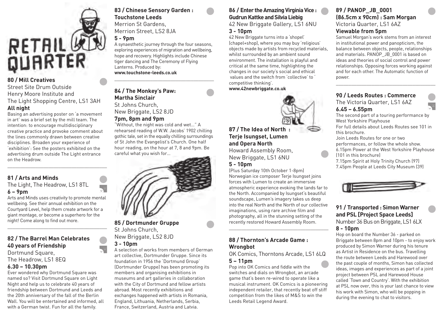

# **80 / Mill Creatives**

Street Site Drum Outside Henry Moore Institute and The Light Shopping Centre, LS1 3AH **All night**

Basing an advertising poster on 'a movement in art' was a brief set by the mill team. The intention: to encourage multidisciplinary creative practice and provoke comment about the lines commonly drawn between creative disciplines. Broaden your experience of 'exhibition': See the posters exhibited on the advertising drum outside The Light entrance on the Headrow. \_\_\_\_\_\_\_\_\_\_\_\_\_\_\_\_\_\_\_\_\_\_\_\_\_\_\_\_\_\_\_\_\_\_\_\_\_\_\_

# **81 / Arts and Minds**

### The Light, The Headrow, LS1 8TL **6 – 9pm**

Arts and Minds uses creativity to promote mental wellbeing. See their annual exhibition on the Courtyard Level, help them create artwork for a giant montage, or become a superhero for the night! Come along to find out more.

\_\_\_\_\_\_\_\_\_\_\_\_\_\_\_\_\_\_\_\_\_\_\_\_\_\_\_\_\_\_\_\_\_\_\_\_\_\_\_

# **82 / The Barrel Man Celebrates 40 years of Friendship**

Dortmund Square, The Headrow, LS1 8EQ

# **6.30 – 10.30pm**

Ever wondered why Dortmund Square was named so? Visit Dortmund Square on Light Night and help us to celebrate 40 years of friendship between Dortmund and Leeds and the 20th anniversary of the fall of the Berlin Wall. You will be entertained and informed, all with a German twist. Fun for all the family.

# **83 / Chinese Sensory Garden : Touchstone Leeds**

Merrion St Gardens, Merrion Street, LS2 8JA

# **5 - 9pm**

A synaesthetic journey through the four seasons, exploring experiences of migration and wellbeing, hope and recovery. Highlights include Chinese tiger dancing and The Ceremony of Flying Lanterns. Produced by: **www.touchstone-leeds.co.uk** 

\_\_\_\_\_\_\_\_\_\_\_\_\_\_\_\_\_\_\_\_\_\_\_\_\_\_\_\_\_\_\_\_\_\_\_\_\_\_\_

# **84 / The Monkey's Paw: Martha Sinclair**

St Johns Church, New Briggate, LS2 8JD

### **7pm, 8pm and 9pm**

"Without, the night was cold and wet…" A rehearsed reading of W.W. Jacobs' 1902 chilling gothic tale, set in the equally chilling surroundings of St John the Evangelist's Church. One half hour reading, on the hour at 7, 8 and 9pm. Be careful what you wish for…



# **85 / Dortmunder Gruppe** St Johns Church,

New Briggate, LS2 8JD

# **3 - 10pm**

A selection of works from members of German art collective, Dortmunder Gruppe. Since its foundation in 1956 the 'Dortmund Group' (Dortmunder Gruppe) has been promoting its members and organising exhibitions in museums and art galleries in collaboration with the City of Dortmund and fellow artists abroad. Most recently exhibitions and exchanges happened with artists in Romania, England, Lithuania, Netherlands, Serbia, France, Switzerland, Austria and Latvia.

# **86 / Enter the Amazing Virginia Vice : Gudrun Kattke and Silvia Liebig**

42 New Briggate Gallery, LS1 6NU

# **3 - 10pm**

42 New Briggate turns into a 'shopel' (chapel+shop), where you may buy 'religious' objects made by artists from recycled materials, whilst surrounded by an ambient sound environment. The installation is playful and critical at the same time, highlighting the changes in our society's social and ethical values and the switch from 'collective' to ' competitive thinking'.

**www.42newbriggate.co.uk**



# **87 / The Idea of North : Terje Isungset, Lumen and Opera North**

Howard Assembly Room, New Briggate, LS1 6NU

### **5 - 10pm**

(Plus Saturday 10th October 1-8pm) Norwegian ice composer Terje Isungset joins forces with Lumen to create an immersive atmospheric experience evoking the lands far to the North. Accompanied by Isungset's beautiful soundscape, Lumen's imagery takes us deep into the real North and the North of our collective imaginations, using rare archive film and photography, all in the stunning setting of the recently restored Howard Assembly Room.

\_\_\_\_\_\_\_\_\_\_\_\_\_\_\_\_\_\_\_\_\_\_\_\_\_\_\_\_\_\_\_\_\_\_\_\_\_\_\_

# **88 / Thornton's Arcade Game : Wrongbot**

OK Comics, Thorntons Arcade, LS1 6LQ **5 – 11pm**

Pop into OK Comics and fiddle with the switches and dials on Wrongbot, an arcade game that's been re-wired to operate like a musical instrument. OK Comics is a pioneering independent retailer, that recently beat off stiff competition from the likes of M&S to win the Leeds Retail Legend Award.

# **89 / PANOP\_JB\_0001 (86.5cm x 90cm) : Sam Morgan** Victoria Quarter, LS1 6AZ

### **Viewable from 5pm**

Samuel Morgan's work stems from an interest in institutional power and panopticism, the balance between objects, people, relationships and materials. PANOP JB 0001 is based on ideas and theories of social control and power relationships. Opposing forces working against and for each other. The Automatic function of power.

\_\_\_\_\_\_\_\_\_\_\_\_\_\_\_\_\_\_\_\_\_\_\_\_\_\_\_\_\_\_\_\_\_\_\_\_\_\_\_

### **90 / Leeds Routes : Commerce** The Victoria Quarter, LS1 6AZ **6.45 – 6.55pm**



The second part of a touring performance by West Yorkshire Playhouse

For full details about Leeds Routes see 101 in this brochure.

Join Leeds Routes for one or two

performances, or follow the whole show.

6.15pm Power at the West Yorkshire Playhouse

(101 in this brochure)

7.15pm Spirit at Holy Trinity Church (97)

7.45pm People at Leeds City Museum (39)



# **91 / Transported : Simon Warner and PSL [Project Space Leeds]**

Number 36 Bus on Briggate, LS1 6LX

# **8 - 10pm**

Hop on board the Number 36 - parked on Briggate between 8pm and 10pm - to enjoy work produced by Simon Warner during his tenure as Artist in Residence on the bus. Travelling the route between Leeds and Harewood over the past couple of months, Simon has collected ideas, images and experiences as part of a joint project between PSL and Harewood House called 'Town and Country'. With the exhibition at PSL now over, this is your last chance to view his work with Simon, who will be popping in during the evening to chat to visitors.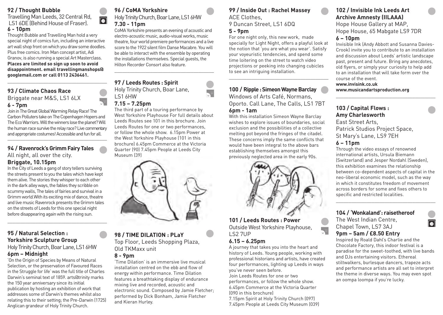### **92 / Thought Bubble**

Travelling Man Leeds, 32 Central Rd, LS1 6DE (Behind House of Fraser). **6 - 10pm**

Thought Bubble and Travelling Man hold a very special night of comics fun, including an interactive art wall shop front on which you draw some doodles. Plus free comics. Iron Man concept artist, Adi Granov, is also running a special Art Masterclass. **Places are limited so sign up soon to avoid disappointment. email travellingmanshops@ googlemail.com or call 0113 2436461.**

\_\_\_\_\_\_\_\_\_\_\_\_\_\_\_\_\_\_\_\_\_\_\_\_\_\_\_\_\_\_\_\_\_\_\_\_\_\_\_

# **93 / Climate Chaos Race** Briggate near M&S, LS1 6LX **6 - 7pm**

Join in The Great Global Warming Relay Race! The Carbon Polluters take on The Copenhagen Hopers and The Eco Warriors. Will the winners lose the planet? Will the human race survive the relay race? Live commentary and appropriate costumes! Accessible and fun for all. \_\_\_\_\_\_\_\_\_\_\_\_\_\_\_\_\_\_\_\_\_\_\_\_\_\_\_\_\_\_\_\_\_\_\_\_\_\_\_

### **94 / Ravenrock's Grimm Fairy Tales** All night, all over the city. **Briggate, 10.15pm**

In the City of Leeds a gang of story tellers surviving the streets present to you the tales which have kept them alive. The stories they whisper to each other in the dark alley ways, the fables they scribble on scummy walls, The tales of fairies and survival in a Grimm world.With its exciting mix of dance, theatre and live music Ravenrock presents the Grimm tales on the streets of Leeds for this one special night before disappearing again with the rising sun.

\_\_\_\_\_\_\_\_\_\_\_\_\_\_\_\_\_\_\_\_\_\_\_\_\_\_\_\_\_\_\_\_\_\_\_\_\_\_\_

# **95 / Natural Selection : Yorkshire Sculpture Group**

Holy Trinity Church, Boar Lane, LS1 6HW **6pm – Midnight**

'On the Origin of Species by Means of Natural Selection, or the preservation of Favoured Races in the Struggle for life' was the full title of Charles Darwin's seminal text of 1859. arts@trinity marks the 150 year anniversary since its initial publication by hosting an exhibition of work that addresses some of Darwin's themes whilst also relating this to their setting; the Pre-Darwin (1725) Anglican grandeur of Holy Trinity Church.

# **96 / CoMA Yorkshire**

 $\overline{\bullet}$ 

Holy Trinity Church, Boar Lane, LS1 6HW **7.30 - 11pm**

CoMA Yorkshire presents an evening of acoustic and electro-acoustic music, audio-visual works, music theatre, four world premiere performances and a live score to the 1922 silent film Danse Macabre. You will be able to interact with the ensemble by operating the installations themselves. Special guests, the Hilton Recorder Consort also feature.

\_\_\_\_\_\_\_\_\_\_\_\_\_\_\_\_\_\_\_\_\_\_\_\_\_\_\_\_\_\_\_\_\_\_\_\_\_\_\_

# **97 / Leeds Routes : Spirit**  Holy Trinity Church, Boar Lane, LS1 6HW

### **7.15 – 7.25pm** The third part of a touring performance by West Yorkshire Playhouse For full details about Leeds Routes see 101 in this brochure. Join Leeds Routes for one or two performances, or follow the whole show. 6.15pm Power at the West Yorkshire Playhouse (101 in this brochure) 6.45pm Commerce at the Victoria Quarter (90) 7.45pm People at Leeds City



### **98 / TIME DILATION : PLaY** Top Floor, Leeds Shopping Plaza, Old TKMaxx unit

### **8 - 9pm**

'Time Dilation' is an immersive live musical installation centred on the ebb and flow of energy within performance. Time Dilation features a breathtaking display of endurance mixing live and recorded, acoustic and electronic sound. Composed by Jamie Fletcher; performed by Dick Bonham, Jamie Fletcher and Kieran Hurley.

# **99 / Inside Out : Rachel Massey** ACE Clothes,

9 Duncan Street, LS1 6DQ **5 - 9pm**

For one night only, this new work, made specially for Light Night, offers a playful look at the notion that 'you are what you wear'. Satisfy your voyeuristic tendencies, and spend some time loitering on the street to watch video projections or peeking into changing cubicles to see an intriguing installation.

\_\_\_\_\_\_\_\_\_\_\_\_\_\_\_\_\_\_\_\_\_\_\_\_\_\_\_\_\_\_\_\_\_\_\_\_\_\_\_

# **100 / Ripple : Simeon Wayne Barclay**

Windows of Arts Café, Normans, Oporto. Call Lane, The Calls, LS1 7BT **6pm - 1am**

With this installation Simeon Wayne Barclay wishes to explore issues of boundaries, social exclusion and the possibilities of a collective melting pot beyond the fringes of the citadel. These concerns imply the same conflicts that would have been integral to the above bars establishing themselves amongst this previously neglected area in the early 90s.



**101 / Leeds Routes : Power** Outside West Yorkshire Playhouse, LS2 7UP

# **6.15 – 6.25pm**

A journey that takes you into the heart and history of Leeds. Young people, working with professional historians and artists, have created four performances, lighting up Leeds in ways you've never seen before.

Join Leeds Routes for one or two performances, or follow the whole show. 6.45pm Commerce at the Victoria Quarter (090 in this brochure)

7.15pm Spirit at Holy Trinity Church (097) 7.45pm People at Leeds City Museum (039)

# **102 / Invisible Ink Leeds Art Archive Amnesty (IILAAA)** Hope House Gallery at MAP,

Hope House, 65 Mabgate LS9 7DR

# **6 – 10pm**

Invisible Ink (Andy Abbott and Susanna Davies-Crook) invite you to contribute to an installation and discussion about Leeds' artistic landscape past, present and future. Bring any anecdotes, old flyers, or simply your curiosity to help add to an installation that will take form over the course of the event.

\_\_\_\_\_\_\_\_\_\_\_\_\_\_\_\_\_\_\_\_\_\_\_\_\_\_\_\_\_\_\_\_\_\_\_\_\_\_\_

### **www.invisink.co.uk www.musicandartsproduction.org**

# **103 / Capital Flows : Amy Charlesworth** East Street Arts, Patrick Studios Project Space,

St Mary's Lane, LS9 7EH

### **6 – 11pm**

Through the video essays of renowned international artists, Ursula Biemann (Switzerland) and Jesper Nordahl (Sweden), this exhibition examines the relationship between co-dependent aspects of capital in the neo-liberal economic model, such as the way in which it constitutes freedom of movement across borders for some and fixes others to specific and restricted localities.

\_\_\_\_\_\_\_\_\_\_\_\_\_\_\_\_\_\_\_\_\_\_\_\_\_\_\_\_\_\_\_\_\_\_\_\_\_\_\_

Õ

# **104 / 'Wonkaland': raisetheroof**

The West Indian Centre, Chapel Town, LS7 3AJ

**9pm – 5am / £8.50 Entry**

Inspired by Roald Dahl's Charlie and the Chocolate Factory, this indoor festival is a paradise for the sweet-toothed, with live bands and DJs entertaining visitors. Ethereal stiltwalkers, burlesque dancers, trapeze acts and performance artists are all set to interpret the theme in diverse ways. You may even spot an oompa loompa if you're lucky.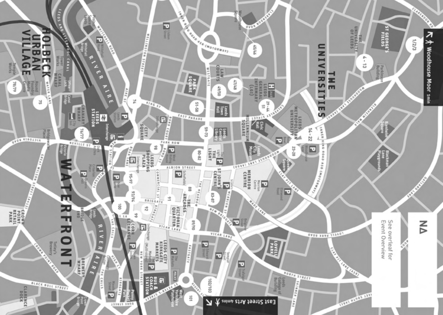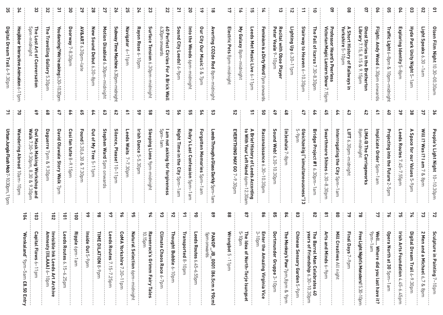| Digital Dream Trail 6-9.30pm<br>Hexinber Interactive Animation $\diamond$<br>د<br>η | 34<br>ၾ        |
|-------------------------------------------------------------------------------------|----------------|
|                                                                                     |                |
| 5pm-midnight<br>The Lost Art<br>of Conversation                                     | ပ္ပ            |
| Ξ<br>Travelling<br>I Gallery<br>5.30pm                                              | ន              |
| You dancing? We're asking $\delta$<br>ξġ<br>-10.30pm                                | یے             |
| Doorway 7-8.30pm                                                                    | ိ              |
| <b>AV&amp;ART</b><br>.ب<br>.30pm-<br>-late                                          | 29             |
| New<br>Sound Debut<br>6.30-<br>-8pm                                                 | 28             |
| Motion Disabled 6.<br>.30pm-<br>midnight                                            | 27             |
| Subway Time Machine<br>6.30pm-midnigh                                               | 26             |
| Navigator<br>$u$ d <sub>-11</sub> -9                                                | ΣS             |
| Rayon Rose 6-10pm                                                                   | 24             |
| Surface<br>Tension 6.30pm-midnight                                                  | ಜ              |
| 6.30pm onwards<br>60 Perfect Circles For<br>$\blacktriangleright$<br>Brick Wall     | 22             |
| Sound City Leeds! $6$ -9pm                                                          | 21             |
| lnto<br>등<br>Woods 6pm-midnigh                                                      | 20             |
| Our<br>City<br>Our<br>Music<br>C<br>$\infty$<br>$\overline{A}$                      | $\vec{6}$      |
| Averting<br>CO2de Red 8pm<br>midn<br>$\overline{\phantom{a}}$<br>ight               | ಹ              |
| Electric Pets 8pm-midnight                                                          | $\frac{1}{2}$  |
| ξ<br>Galaxy 8pm-midnight                                                            | $\vec{\circ}$  |
| eeds Met Music Live 6-<br>ud <sub>LL</sub>                                          | 긊              |
| Feminism is a Dirty Word 7pm onv<br>ards                                            | $\overline{r}$ |
| <b>Recital with Oboe</b><br>Peter<br>Veale<br>$\sim$<br>-10pm<br>Player             | ದ              |
| Lighting Up<br>6.30-11pm                                                            | $\vec{z}$      |
| Stairway to Heaven 6<br>$-10.30$ pr                                                 | ニ              |
| 딯<br>Fall of Icarus 7.30-8.30pm                                                     | $\vec{0}$      |
| Professor Heard's Peerless<br>Victorian Magic Lantern Sho<br>2<br>gh                | SO             |
| A Short History of Railways<br>Yorkshire 5–10pm<br>$\overline{5}$                   | 8              |
| Ghost Stories in the Brotherton<br>Library 7.15, 8.15 & 9.15pm                      | S              |
| Flight:<br>Andy Wood 6.30pm<br>onwards                                              | 90             |
| Traffic Light $6\text{--}8\text{pm}$<br>10pm-midnight                               | GO             |
| Exploring Identity<br>نہ<br>spm                                                     | 50             |
| Hyde Park Unity Night 5<br>$\overline{\phantom{a}}$<br>Эm                           | 8              |
| ight Speaks 6.30<br>$-l$ am                                                         | $\overline{z}$ |
| Olsen<br>Film Night<br>$\Xi$<br>ن<br>ڄ<br>$00.30$ am                                | $\mathbf{a}$   |

| 2 I  | 2                      | S9<br>Owl N<br>Walk<br>$7.30 -$                                    | 89                    | $\mathcal{L}$                          | နွ<br>Cosi fan tutte 8 | ဌ<br>Found 5.30,6.30 & 7.30p | 64<br>Dut<br>of My<br>$\overline{\Gamma}^{\mathsf{c}}$ | ఙ                            | $\frac{8}{2}$<br>Silence, Please! | $\tilde{z}$<br>Leeds Waits   | SS<br><b>Irish Dance 5.</b> | 89                                      | ្ម ៈ<br>ਬੂ<br>jam                                  | 85<br><b>Night</b>           | ဌ<br><b>Ruby</b><br>ທັ       | 5 <sup>4</sup><br>Forgotten Memories | င္ယာ<br>eeds<br>Through. | ន<br>EVERYTHING MAY GO                 | 뜨<br>A Brief History<br>to With Your Let                               | ဠ<br>Racconaissance 6.30- | 49                      | 48<br>(in)exhale $7\text{-}\mathrm{8pm}$ | 47                                           | 5 <sup>2</sup>                             | G,<br>Swarthmore Shines     | $\ddot{z}$                         | $\ddot{3}$<br>퉦<br>$\circ$ : | 5 <sup>2</sup><br>8pm<br>midnight | 41<br><b>Implicate Order</b> | ĉ                                        | 39<br>Leeds Routes $7.45$ | အိ<br>A Space for our Values | $\frac{3}{2}$<br>Will I?<br><b>Nas</b>            | ွင<br>People's Light Night        |
|------|------------------------|--------------------------------------------------------------------|-----------------------|----------------------------------------|------------------------|------------------------------|--------------------------------------------------------|------------------------------|-----------------------------------|------------------------------|-----------------------------|-----------------------------------------|----------------------------------------------------|------------------------------|------------------------------|--------------------------------------|--------------------------|----------------------------------------|------------------------------------------------------------------------|---------------------------|-------------------------|------------------------------------------|----------------------------------------------|--------------------------------------------|-----------------------------|------------------------------------|------------------------------|-----------------------------------|------------------------------|------------------------------------------|---------------------------|------------------------------|---------------------------------------------------|-----------------------------------|
| ud01 | Wandering Abroad 10am- | Mask Making Workshop<br>.30pm,<br>8.30 &<br>$\sim$<br>.30pm<br>pue | Daguerre 7pm & 9.30pm | <b>David Oluwale Story Walk</b><br>7pm | $-9.15pm$              |                              | e<br>G<br>$\rightarrow$<br>$\frac{1}{9}$               | Stephen Ward 5pm onward<br>S | $ud_{11-01}$                      | $\overline{a}$<br>$-7.30$ pm | -5.30pm                     | Sleeping Lions <sup>9</sup> pm-midnight | l am not asking for forgiveness<br><sub>Form</sub> | Time in the City 5pm-<br>jam | Last Confession 5pm-<br>-1an | 5pm<br>∸<br>am                       | a Glass Darkly 5pm       | $\overline{\phantom{0}}$<br>$-9.30$ pm | y of Leeds Acc<br>-eft Hand ໒pm−<br>Leeds According<br>Hand 6pm-12.30a | $-10.30$ pm               | Sound Web! 6.30-10.30pm |                                          | Cleichzeitig ("simultaneousness") 3<br>5-9pm | Bridge Project #1 6.30pm-<br>$\frac{1}{2}$ | $\sim$<br>نخ<br>ٻ<br>8.30pm | Interrogating the City 5pm-<br>jam | 30pm-midnight                | LIMA @ The Carriageworks          | 5pm-<br>$\frac{1}{1}$ am     | Projecting into the Future $2\,$<br>ighu | ---<br>-7.55pm<br>---     | ĊЦ<br>40 <sup>th</sup>       | $\overline{5}$<br>Ψ<br>$\overline{a}$<br>୧<br>8pm | Ģ<br>$\overrightarrow{0}$<br>30pr |

| 54                                                         | 103                                         | 102                                                                                                                     | ioi                           | ã                   | $\frac{6}{5}$       | 86                                            | $\frac{1}{2}$                                         | $\infty$                                                                 | ος                                                          | 54                                              | చ                                                 | $\frac{8}{10}$        | 2                                     | ă                              | $\frac{8}{5}$                                                          | 88                 | $\mathbf{g}_L$                                                            | 86                                                               | <u>ទ</u>                    | 78                                                   | ၕ                                               | $\frac{8}{2}$                                                                     | $\overline{\mathbf{5}}$                                | 8                                        | 79                                 | $\frac{2}{8}$                                                  | $\frac{1}{2}$                                                                                       | $\frac{1}{2}$                                       | $\frac{1}{16}$                                                                                           | $\frac{7}{4}$                              | $\frac{72}{73}$                                                  |                                                          |
|------------------------------------------------------------|---------------------------------------------|-------------------------------------------------------------------------------------------------------------------------|-------------------------------|---------------------|---------------------|-----------------------------------------------|-------------------------------------------------------|--------------------------------------------------------------------------|-------------------------------------------------------------|-------------------------------------------------|---------------------------------------------------|-----------------------|---------------------------------------|--------------------------------|------------------------------------------------------------------------|--------------------|---------------------------------------------------------------------------|------------------------------------------------------------------|-----------------------------|------------------------------------------------------|-------------------------------------------------|-----------------------------------------------------------------------------------|--------------------------------------------------------|------------------------------------------|------------------------------------|----------------------------------------------------------------|-----------------------------------------------------------------------------------------------------|-----------------------------------------------------|----------------------------------------------------------------------------------------------------------|--------------------------------------------|------------------------------------------------------------------|----------------------------------------------------------|
| 오<br><u>م</u><br>$\frac{9}{2}$ pm<br>-5am<br>£8.50<br>Entr | apital Flows<br>$\circ$<br>ud <sub>11</sub> | <b>Invisible</b><br>Amnesty<br>sty<br>흘릇<br>Leeds<br>Leeds<br>$\sim$<br>Art<br>$\frac{1}{9}$<br><b>Arch</b><br>З<br>- 1 | eeds Route<br>56.1<br>SЯ<br>ᅙ | Ripple<br>e dpm-1am | Inside Out $5-9$ pm | <b>TIME DIL</b><br>-8 NOILY<br>$\frac{9}{10}$ | eeds<br>Routes7<br>$\rightarrow$<br>udgz <sup>-</sup> | <b>CoMA</b><br><b>Yorkshire</b><br>7.<br>30.<br>∸<br>⊸<br>$\overline{B}$ | Natural Selection 6pm-<br>Luig<br>⊐<br><u>.</u><br>تھا<br>ح | 10.15pm<br>Ra<br>/enrock's Grimm Fairy<br>Tales | <b>Climate</b><br><b>Chaos Race</b><br>$6 - 7$ pm | Thought Bubble 6-10pm | Transported<br>${}^{\infty}$<br>-10pm | eeds Routes<br>-57'9<br>P.55pr | Spmonwards<br>PANOP<br>່ສ<br>1000<br>98)<br>ά<br>$\times$<br>$\bullet$ | Wrongbot 5<br>11pm | cл<br>The Idea<br>ilgem<br>٩<br><b>North</b><br>Terje-<br><b>Isungset</b> | Enter<br>3-10pr<br>udou-<br>응<br>Amazing Virginia<br><b>Nice</b> | Dortmunder<br>Gruppe 3-10pm | The Monkey's<br>Paw<br>7pm,8pm<br>$\infty$<br>$9$ pm | Chinese<br>Sensory Garden<br>C<br>$\frac{9}{5}$ | The Barrel Man Celebrates<br>years of Friendship 6.30–10<br>O.<br><b>CO</b><br>نغ | Arts<br>and Minds<br>$\tilde{\mathcal{C}}$<br>$ud_6$ - | <b>Mill Creatives</b><br>$\geq$<br>night | <b>Final Days</b><br>7<br>$ud_6$ - | Free Light Night's Monsters!<br>C<br>S<br>$\overrightarrow{d}$ | <sup>9</sup> pm-<br>Well<br>Tam<br><b>Where</b><br>did you last hav<br><b>D</b><br>$\equiv$<br>. ن. | <b>Opera North</b><br>ăť<br>30<br><b>Spm</b><br>Jam | Irish<br>Arts<br>Foundation<br>$\overline{\mathcal{A}}$<br>45<br>$\overline{\phi}$ .<br>wdg <del>y</del> | Digital<br>Dream.<br>Trail 6<br>$-9.30$ pm | N<br>Men and<br>മ<br><b>Michael</b><br>6,7<br>۵<br>$\frac{8}{9}$ | Sculpture<br>$\Xi$<br>Painting<br>$\overline{ }$<br>lopm |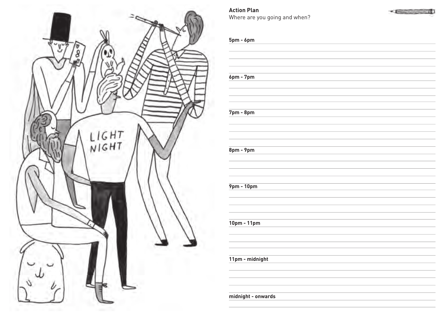

**Action Plan** Where are you going and when?



**5pm - 6pm 6pm - 7pm 7pm - 8pm 8pm - 9pm 9pm - 10pm 10pm - 11pm 11pm - midnight**

**midnight - onwards**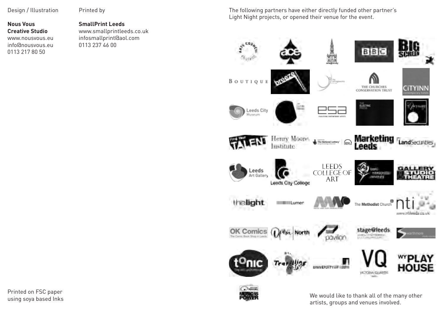Design / Illustration

**Nous Vous Creative Studio** www.nousvous.eu info@nousvous.eu 0113 217 80 50

Printed by

# **SmallPrint Leeds**

www.smallprintleeds.co.uk infosmallprint@aol.com 0113 237 46 00

The following partners have either directly funded other partner's Light Night projects, or opened their venue for the event.





We would like to thank all of the many other artists, groups and venues involved.

Printed on FSC paper using soya based Inks